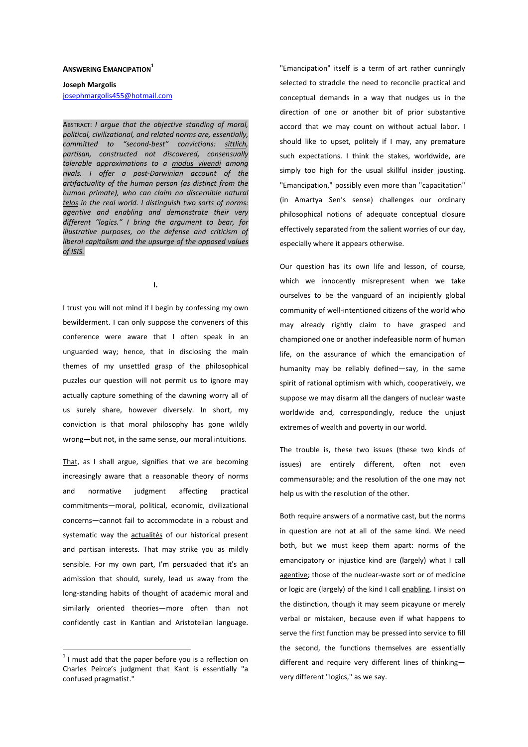## **ANSWERING EMANCIPATION<sup>1</sup>**

**Joseph Margolis**  josephmargolis455@hotmail.com

ABSTRACT: *I argue that the objective standing of moral, political, civilizational, and related norms are, essentially, committed to "second-best" convictions: sittlich, partisan, constructed not discovered, consensually tolerable approximations to a modus vivendi among rivals. I offer a post-Darwinian account of the artifactuality of the human person (as distinct from the human primate), who can claim no discernible natural telos in the real world. I distinguish two sorts of norms: agentive and enabling and demonstrate their very different "logics." I bring the argument to bear, for illustrative purposes, on the defense and criticism of liberal capitalism and the upsurge of the opposed values of ISIS.* 

**I.** 

I trust you will not mind if I begin by confessing my own bewilderment. I can only suppose the conveners of this conference were aware that I often speak in an unguarded way; hence, that in disclosing the main themes of my unsettled grasp of the philosophical puzzles our question will not permit us to ignore may actually capture something of the dawning worry all of us surely share, however diversely. In short, my conviction is that moral philosophy has gone wildly wrong—but not, in the same sense, our moral intuitions.

That, as I shall argue, signifies that we are becoming increasingly aware that a reasonable theory of norms and normative iudgment affecting practical commitments—moral, political, economic, civilizational concerns—cannot fail to accommodate in a robust and systematic way the actualités of our historical present and partisan interests. That may strike you as mildly sensible. For my own part, I'm persuaded that it's an admission that should, surely, lead us away from the long-standing habits of thought of academic moral and similarly oriented theories—more often than not confidently cast in Kantian and Aristotelian language.

 $\overline{a}$ 

"Emancipation" itself is a term of art rather cunningly selected to straddle the need to reconcile practical and conceptual demands in a way that nudges us in the direction of one or another bit of prior substantive accord that we may count on without actual labor. I should like to upset, politely if I may, any premature such expectations. I think the stakes, worldwide, are simply too high for the usual skillful insider jousting. "Emancipation," possibly even more than "capacitation" (in Amartya Sen's sense) challenges our ordinary philosophical notions of adequate conceptual closure effectively separated from the salient worries of our day, especially where it appears otherwise.

Our question has its own life and lesson, of course, which we innocently misrepresent when we take ourselves to be the vanguard of an incipiently global community of well-intentioned citizens of the world who may already rightly claim to have grasped and championed one or another indefeasible norm of human life, on the assurance of which the emancipation of humanity may be reliably defined—say, in the same spirit of rational optimism with which, cooperatively, we suppose we may disarm all the dangers of nuclear waste worldwide and, correspondingly, reduce the unjust extremes of wealth and poverty in our world.

The trouble is, these two issues (these two kinds of issues) are entirely different, often not even commensurable; and the resolution of the one may not help us with the resolution of the other.

Both require answers of a normative cast, but the norms in question are not at all of the same kind. We need both, but we must keep them apart: norms of the emancipatory or injustice kind are (largely) what I call agentive; those of the nuclear-waste sort or of medicine or logic are (largely) of the kind I call enabling. I insist on the distinction, though it may seem picayune or merely verbal or mistaken, because even if what happens to serve the first function may be pressed into service to fill the second, the functions themselves are essentially different and require very different lines of thinking very different "logics," as we say.

 $1$  I must add that the paper before you is a reflection on Charles Peirce's judgment that Kant is essentially "a confused pragmatist."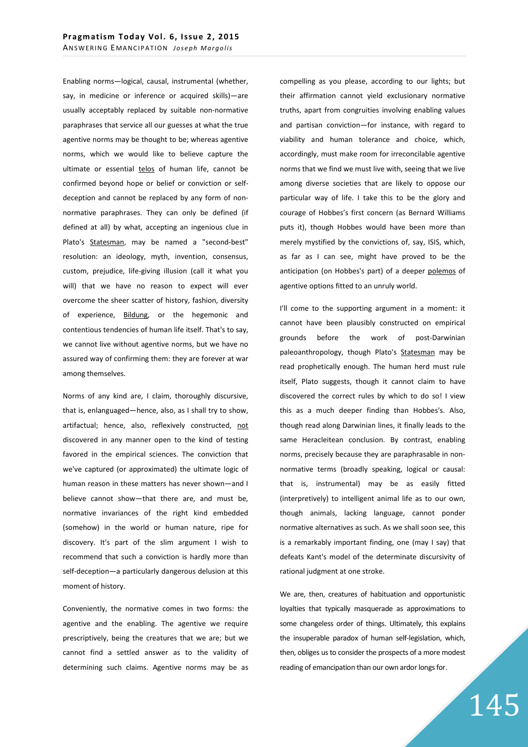Enabling norms—logical, causal, instrumental (whether, say, in medicine or inference or acquired skills)—are usually acceptably replaced by suitable non-normative paraphrases that service all our guesses at what the true agentive norms may be thought to be; whereas agentive norms, which we would like to believe capture the ultimate or essential telos of human life, cannot be confirmed beyond hope or belief or conviction or selfdeception and cannot be replaced by any form of nonnormative paraphrases. They can only be defined (if defined at all) by what, accepting an ingenious clue in Plato's **Statesman**, may be named a "second-best" resolution: an ideology, myth, invention, consensus, custom, prejudice, life-giving illusion (call it what you will) that we have no reason to expect will ever overcome the sheer scatter of history, fashion, diversity of experience, Bildung, or the hegemonic and contentious tendencies of human life itself. That's to say, we cannot live without agentive norms, but we have no assured way of confirming them: they are forever at war among themselves.

Norms of any kind are, I claim, thoroughly discursive, that is, enlanguaged—hence, also, as I shall try to show, artifactual; hence, also, reflexively constructed, not discovered in any manner open to the kind of testing favored in the empirical sciences. The conviction that we've captured (or approximated) the ultimate logic of human reason in these matters has never shown—and I believe cannot show—that there are, and must be, normative invariances of the right kind embedded (somehow) in the world or human nature, ripe for discovery. It's part of the slim argument I wish to recommend that such a conviction is hardly more than self-deception—a particularly dangerous delusion at this moment of history.

Conveniently, the normative comes in two forms: the agentive and the enabling. The agentive we require prescriptively, being the creatures that we are; but we cannot find a settled answer as to the validity of determining such claims. Agentive norms may be as compelling as you please, according to our lights; but their affirmation cannot yield exclusionary normative truths, apart from congruities involving enabling values and partisan conviction—for instance, with regard to viability and human tolerance and choice, which, accordingly, must make room for irreconcilable agentive norms that we find we must live with, seeing that we live among diverse societies that are likely to oppose our particular way of life. I take this to be the glory and courage of Hobbes's first concern (as Bernard Williams puts it), though Hobbes would have been more than merely mystified by the convictions of, say, ISIS, which, as far as I can see, might have proved to be the anticipation (on Hobbes's part) of a deeper polemos of agentive options fitted to an unruly world.

I'll come to the supporting argument in a moment: it cannot have been plausibly constructed on empirical grounds before the work of post-Darwinian paleoanthropology, though Plato's Statesman may be read prophetically enough. The human herd must rule itself, Plato suggests, though it cannot claim to have discovered the correct rules by which to do so! I view this as a much deeper finding than Hobbes's. Also, though read along Darwinian lines, it finally leads to the same Heracleitean conclusion. By contrast, enabling norms, precisely because they are paraphrasable in nonnormative terms (broadly speaking, logical or causal: that is, instrumental) may be as easily fitted (interpretively) to intelligent animal life as to our own, though animals, lacking language, cannot ponder normative alternatives as such. As we shall soon see, this is a remarkably important finding, one (may I say) that defeats Kant's model of the determinate discursivity of rational judgment at one stroke.

We are, then, creatures of habituation and opportunistic loyalties that typically masquerade as approximations to some changeless order of things. Ultimately, this explains the insuperable paradox of human self-legislation, which, then, obliges us to consider the prospects of a more modest reading of emancipation than our own ardor longs for.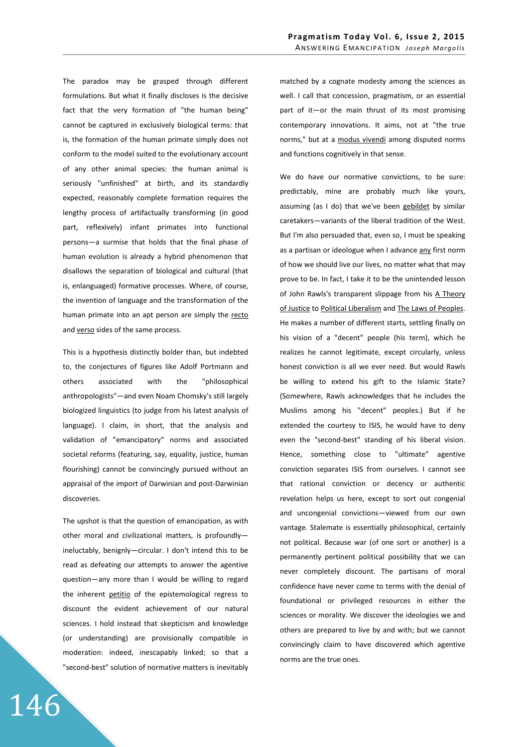The paradox may be grasped through different formulations. But what it finally discloses is the decisive fact that the very formation of "the human being" cannot be captured in exclusively biological terms: that is, the formation of the human primate simply does not conform to the model suited to the evolutionary account of any other animal species: the human animal is seriously "unfinished" at birth, and its standardly expected, reasonably complete formation requires the lengthy process of artifactually transforming (in good part, reflexively) infant primates into functional persons—a surmise that holds that the final phase of human evolution is already a hybrid phenomenon that disallows the separation of biological and cultural (that is, enlanguaged) formative processes. Where, of course, the invention of language and the transformation of the human primate into an apt person are simply the recto and verso sides of the same process.

This is a hypothesis distinctly bolder than, but indebted to, the conjectures of figures like Adolf Portmann and others associated with the "philosophical anthropologists"—and even Noam Chomsky's still largely biologized linguistics (to judge from his latest analysis of language). I claim, in short, that the analysis and validation of "emancipatory" norms and associated societal reforms (featuring, say, equality, justice, human flourishing) cannot be convincingly pursued without an appraisal of the import of Darwinian and post-Darwinian discoveries.

The upshot is that the question of emancipation, as with other moral and civilizational matters, is profoundly ineluctably, benignly—circular. I don't intend this to be read as defeating our attempts to answer the agentive question—any more than I would be willing to regard the inherent petitio of the epistemological regress to discount the evident achievement of our natural sciences. I hold instead that skepticism and knowledge (or understanding) are provisionally compatible in moderation: indeed, inescapably linked; so that a "second-best" solution of normative matters is inevitably

146

matched by a cognate modesty among the sciences as well. I call that concession, pragmatism, or an essential part of it—or the main thrust of its most promising contemporary innovations. It aims, not at "the true norms," but at a modus vivendi among disputed norms and functions cognitively in that sense.

We do have our normative convictions, to be sure: predictably, mine are probably much like yours, assuming (as I do) that we've been gebildet by similar caretakers—variants of the liberal tradition of the West. But I'm also persuaded that, even so, I must be speaking as a partisan or ideologue when I advance any first norm of how we should live our lives, no matter what that may prove to be. In fact, I take it to be the unintended lesson of John Rawls's transparent slippage from his A Theory of Justice to Political Liberalism and The Laws of Peoples. He makes a number of different starts, settling finally on his vision of a "decent" people (his term), which he realizes he cannot legitimate, except circularly, unless honest conviction is all we ever need. But would Rawls be willing to extend his gift to the Islamic State? (Somewhere, Rawls acknowledges that he includes the Muslims among his "decent" peoples.) But if he extended the courtesy to ISIS, he would have to deny even the "second-best" standing of his liberal vision. Hence, something close to "ultimate" agentive conviction separates ISIS from ourselves. I cannot see that rational conviction or decency or authentic revelation helps us here, except to sort out congenial and uncongenial convictions—viewed from our own vantage. Stalemate is essentially philosophical, certainly not political. Because war (of one sort or another) is a permanently pertinent political possibility that we can never completely discount. The partisans of moral confidence have never come to terms with the denial of foundational or privileged resources in either the sciences or morality. We discover the ideologies we and others are prepared to live by and with; but we cannot convincingly claim to have discovered which agentive norms are the true ones.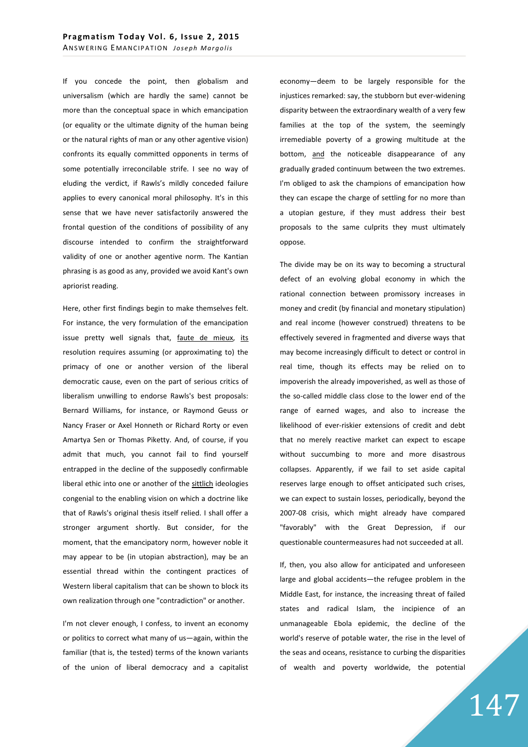If you concede the point, then globalism and universalism (which are hardly the same) cannot be more than the conceptual space in which emancipation (or equality or the ultimate dignity of the human being or the natural rights of man or any other agentive vision) confronts its equally committed opponents in terms of some potentially irreconcilable strife. I see no way of eluding the verdict, if Rawls's mildly conceded failure applies to every canonical moral philosophy. It's in this sense that we have never satisfactorily answered the frontal question of the conditions of possibility of any discourse intended to confirm the straightforward validity of one or another agentive norm. The Kantian phrasing is as good as any, provided we avoid Kant's own apriorist reading.

Here, other first findings begin to make themselves felt. For instance, the very formulation of the emancipation issue pretty well signals that, faute de mieux, its resolution requires assuming (or approximating to) the primacy of one or another version of the liberal democratic cause, even on the part of serious critics of liberalism unwilling to endorse Rawls's best proposals: Bernard Williams, for instance, or Raymond Geuss or Nancy Fraser or Axel Honneth or Richard Rorty or even Amartya Sen or Thomas Piketty. And, of course, if you admit that much, you cannot fail to find yourself entrapped in the decline of the supposedly confirmable liberal ethic into one or another of the sittlich ideologies congenial to the enabling vision on which a doctrine like that of Rawls's original thesis itself relied. I shall offer a stronger argument shortly. But consider, for the moment, that the emancipatory norm, however noble it may appear to be (in utopian abstraction), may be an essential thread within the contingent practices of Western liberal capitalism that can be shown to block its own realization through one "contradiction" or another.

I'm not clever enough, I confess, to invent an economy or politics to correct what many of us—again, within the familiar (that is, the tested) terms of the known variants of the union of liberal democracy and a capitalist economy—deem to be largely responsible for the injustices remarked: say, the stubborn but ever-widening disparity between the extraordinary wealth of a very few families at the top of the system, the seemingly irremediable poverty of a growing multitude at the bottom, and the noticeable disappearance of any gradually graded continuum between the two extremes. I'm obliged to ask the champions of emancipation how they can escape the charge of settling for no more than a utopian gesture, if they must address their best proposals to the same culprits they must ultimately oppose.

The divide may be on its way to becoming a structural defect of an evolving global economy in which the rational connection between promissory increases in money and credit (by financial and monetary stipulation) and real income (however construed) threatens to be effectively severed in fragmented and diverse ways that may become increasingly difficult to detect or control in real time, though its effects may be relied on to impoverish the already impoverished, as well as those of the so-called middle class close to the lower end of the range of earned wages, and also to increase the likelihood of ever-riskier extensions of credit and debt that no merely reactive market can expect to escape without succumbing to more and more disastrous collapses. Apparently, if we fail to set aside capital reserves large enough to offset anticipated such crises, we can expect to sustain losses, periodically, beyond the 2007-08 crisis, which might already have compared "favorably" with the Great Depression, if our questionable countermeasures had not succeeded at all.

If, then, you also allow for anticipated and unforeseen large and global accidents—the refugee problem in the Middle East, for instance, the increasing threat of failed states and radical Islam, the incipience of an unmanageable Ebola epidemic, the decline of the world's reserve of potable water, the rise in the level of the seas and oceans, resistance to curbing the disparities of wealth and poverty worldwide, the potential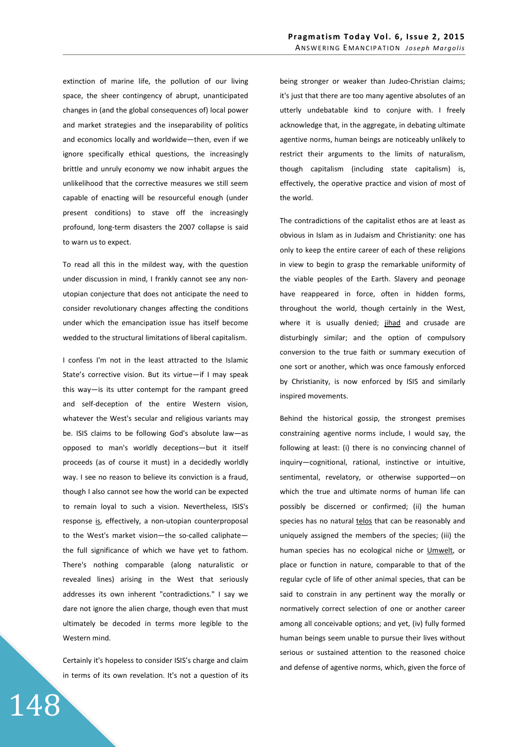extinction of marine life, the pollution of our living space, the sheer contingency of abrupt, unanticipated changes in (and the global consequences of) local power and market strategies and the inseparability of politics and economics locally and worldwide—then, even if we ignore specifically ethical questions, the increasingly brittle and unruly economy we now inhabit argues the unlikelihood that the corrective measures we still seem capable of enacting will be resourceful enough (under present conditions) to stave off the increasingly profound, long-term disasters the 2007 collapse is said to warn us to expect.

To read all this in the mildest way, with the question under discussion in mind, I frankly cannot see any nonutopian conjecture that does not anticipate the need to consider revolutionary changes affecting the conditions under which the emancipation issue has itself become wedded to the structural limitations of liberal capitalism.

I confess I'm not in the least attracted to the Islamic State's corrective vision. But its virtue—if I may speak this way—is its utter contempt for the rampant greed and self-deception of the entire Western vision, whatever the West's secular and religious variants may be. ISIS claims to be following God's absolute law—as opposed to man's worldly deceptions—but it itself proceeds (as of course it must) in a decidedly worldly way. I see no reason to believe its conviction is a fraud, though I also cannot see how the world can be expected to remain loyal to such a vision. Nevertheless, ISIS's response is, effectively, a non-utopian counterproposal to the West's market vision—the so-called caliphate the full significance of which we have yet to fathom. There's nothing comparable (along naturalistic or revealed lines) arising in the West that seriously addresses its own inherent "contradictions." I say we dare not ignore the alien charge, though even that must ultimately be decoded in terms more legible to the Western mind.

Certainly it's hopeless to consider ISIS's charge and claim in terms of its own revelation. It's not a question of its being stronger or weaker than Judeo-Christian claims; it's just that there are too many agentive absolutes of an utterly undebatable kind to conjure with. I freely acknowledge that, in the aggregate, in debating ultimate agentive norms, human beings are noticeably unlikely to restrict their arguments to the limits of naturalism, though capitalism (including state capitalism) is, effectively, the operative practice and vision of most of the world.

The contradictions of the capitalist ethos are at least as obvious in Islam as in Judaism and Christianity: one has only to keep the entire career of each of these religions in view to begin to grasp the remarkable uniformity of the viable peoples of the Earth. Slavery and peonage have reappeared in force, often in hidden forms, throughout the world, though certainly in the West, where it is usually denied; jihad and crusade are disturbingly similar; and the option of compulsory conversion to the true faith or summary execution of one sort or another, which was once famously enforced by Christianity, is now enforced by ISIS and similarly inspired movements.

Behind the historical gossip, the strongest premises constraining agentive norms include, I would say, the following at least: (i) there is no convincing channel of inquiry—cognitional, rational, instinctive or intuitive, sentimental, revelatory, or otherwise supported—on which the true and ultimate norms of human life can possibly be discerned or confirmed; (ii) the human species has no natural telos that can be reasonably and uniquely assigned the members of the species; (iii) the human species has no ecological niche or Umwelt, or place or function in nature, comparable to that of the regular cycle of life of other animal species, that can be said to constrain in any pertinent way the morally or normatively correct selection of one or another career among all conceivable options; and yet, (iv) fully formed human beings seem unable to pursue their lives without serious or sustained attention to the reasoned choice and defense of agentive norms, which, given the force of

148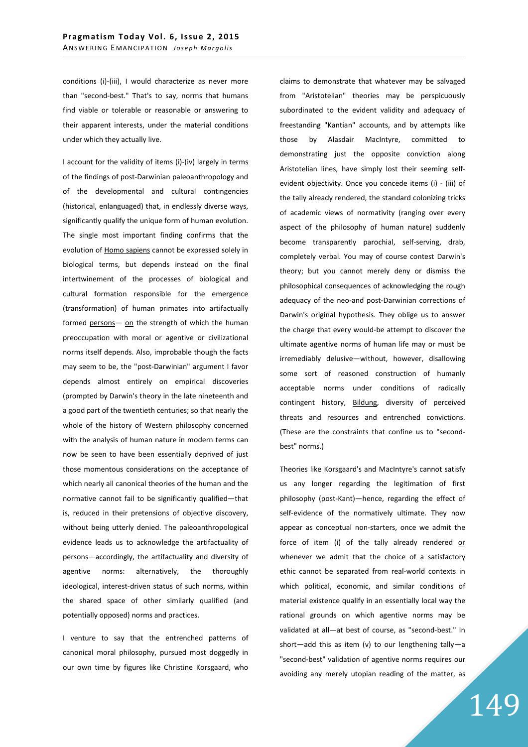conditions (i)-(iii), I would characterize as never more than "second-best." That's to say, norms that humans find viable or tolerable or reasonable or answering to their apparent interests, under the material conditions under which they actually live.

I account for the validity of items (i)-(iv) largely in terms of the findings of post-Darwinian paleoanthropology and of the developmental and cultural contingencies (historical, enlanguaged) that, in endlessly diverse ways, significantly qualify the unique form of human evolution. The single most important finding confirms that the evolution of Homo sapiens cannot be expressed solely in biological terms, but depends instead on the final intertwinement of the processes of biological and cultural formation responsible for the emergence (transformation) of human primates into artifactually formed persons- on the strength of which the human preoccupation with moral or agentive or civilizational norms itself depends. Also, improbable though the facts may seem to be, the "post-Darwinian" argument I favor depends almost entirely on empirical discoveries (prompted by Darwin's theory in the late nineteenth and a good part of the twentieth centuries; so that nearly the whole of the history of Western philosophy concerned with the analysis of human nature in modern terms can now be seen to have been essentially deprived of just those momentous considerations on the acceptance of which nearly all canonical theories of the human and the normative cannot fail to be significantly qualified—that is, reduced in their pretensions of objective discovery, without being utterly denied. The paleoanthropological evidence leads us to acknowledge the artifactuality of persons—accordingly, the artifactuality and diversity of agentive norms: alternatively, the thoroughly ideological, interest-driven status of such norms, within the shared space of other similarly qualified (and potentially opposed) norms and practices.

I venture to say that the entrenched patterns of canonical moral philosophy, pursued most doggedly in our own time by figures like Christine Korsgaard, who

claims to demonstrate that whatever may be salvaged from "Aristotelian" theories may be perspicuously subordinated to the evident validity and adequacy of freestanding "Kantian" accounts, and by attempts like those by Alasdair MacIntyre, committed to demonstrating just the opposite conviction along Aristotelian lines, have simply lost their seeming selfevident objectivity. Once you concede items (i) - (iii) of the tally already rendered, the standard colonizing tricks of academic views of normativity (ranging over every aspect of the philosophy of human nature) suddenly become transparently parochial, self-serving, drab, completely verbal. You may of course contest Darwin's theory; but you cannot merely deny or dismiss the philosophical consequences of acknowledging the rough adequacy of the neo-and post-Darwinian corrections of Darwin's original hypothesis. They oblige us to answer the charge that every would-be attempt to discover the ultimate agentive norms of human life may or must be irremediably delusive—without, however, disallowing some sort of reasoned construction of humanly acceptable norms under conditions of radically contingent history, Bildung, diversity of perceived threats and resources and entrenched convictions. (These are the constraints that confine us to "secondbest" norms.)

Theories like Korsgaard's and MacIntyre's cannot satisfy us any longer regarding the legitimation of first philosophy (post-Kant)—hence, regarding the effect of self-evidence of the normatively ultimate. They now appear as conceptual non-starters, once we admit the force of item (i) of the tally already rendered or whenever we admit that the choice of a satisfactory ethic cannot be separated from real-world contexts in which political, economic, and similar conditions of material existence qualify in an essentially local way the rational grounds on which agentive norms may be validated at all—at best of course, as "second-best." In short—add this as item (v) to our lengthening tally—a "second-best" validation of agentive norms requires our avoiding any merely utopian reading of the matter, as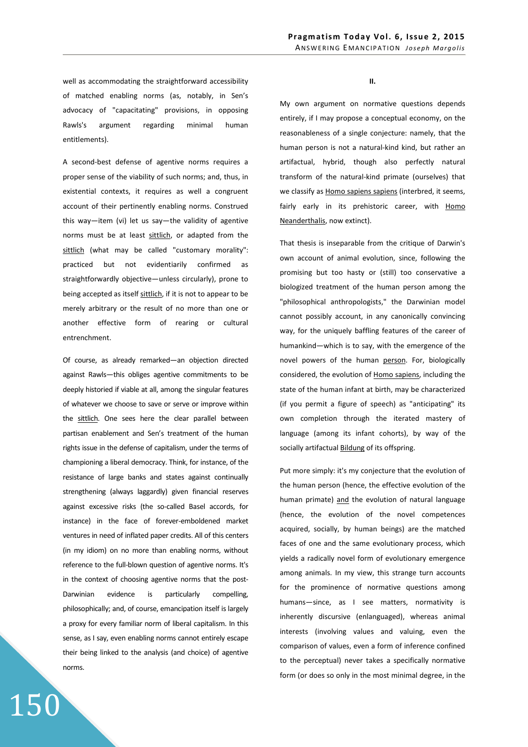well as accommodating the straightforward accessibility of matched enabling norms (as, notably, in Sen's advocacy of "capacitating" provisions, in opposing Rawls's argument regarding minimal human entitlements).

A second-best defense of agentive norms requires a proper sense of the viability of such norms; and, thus, in existential contexts, it requires as well a congruent account of their pertinently enabling norms. Construed this way—item (vi) let us say—the validity of agentive norms must be at least sittlich, or adapted from the sittlich (what may be called "customary morality": practiced but not evidentiarily confirmed as straightforwardly objective—unless circularly), prone to being accepted as itself sittlich, if it is not to appear to be merely arbitrary or the result of no more than one or another effective form of rearing or cultural entrenchment.

Of course, as already remarked—an objection directed against Rawls—this obliges agentive commitments to be deeply historied if viable at all, among the singular features of whatever we choose to save or serve or improve within the sittlich. One sees here the clear parallel between partisan enablement and Sen's treatment of the human rights issue in the defense of capitalism, under the terms of championing a liberal democracy. Think, for instance, of the resistance of large banks and states against continually strengthening (always laggardly) given financial reserves against excessive risks (the so-called Basel accords, for instance) in the face of forever-emboldened market ventures in need of inflated paper credits. All of this centers (in my idiom) on no more than enabling norms, without reference to the full-blown question of agentive norms. It's in the context of choosing agentive norms that the post-Darwinian evidence is particularly compelling, philosophically; and, of course, emancipation itself is largely a proxy for every familiar norm of liberal capitalism. In this sense, as I say, even enabling norms cannot entirely escape their being linked to the analysis (and choice) of agentive norms.

150

**II.** 

My own argument on normative questions depends entirely, if I may propose a conceptual economy, on the reasonableness of a single conjecture: namely, that the human person is not a natural-kind kind, but rather an artifactual, hybrid, though also perfectly natural transform of the natural-kind primate (ourselves) that we classify as Homo sapiens sapiens (interbred, it seems, fairly early in its prehistoric career, with Homo Neanderthalis, now extinct).

That thesis is inseparable from the critique of Darwin's own account of animal evolution, since, following the promising but too hasty or (still) too conservative a biologized treatment of the human person among the "philosophical anthropologists," the Darwinian model cannot possibly account, in any canonically convincing way, for the uniquely baffling features of the career of humankind—which is to say, with the emergence of the novel powers of the human person. For, biologically considered, the evolution of Homo sapiens, including the state of the human infant at birth, may be characterized (if you permit a figure of speech) as "anticipating" its own completion through the iterated mastery of language (among its infant cohorts), by way of the socially artifactual Bildung of its offspring.

Put more simply: it's my conjecture that the evolution of the human person (hence, the effective evolution of the human primate) and the evolution of natural language (hence, the evolution of the novel competences acquired, socially, by human beings) are the matched faces of one and the same evolutionary process, which yields a radically novel form of evolutionary emergence among animals. In my view, this strange turn accounts for the prominence of normative questions among humans—since, as I see matters, normativity is inherently discursive (enlanguaged), whereas animal interests (involving values and valuing, even the comparison of values, even a form of inference confined to the perceptual) never takes a specifically normative form (or does so only in the most minimal degree, in the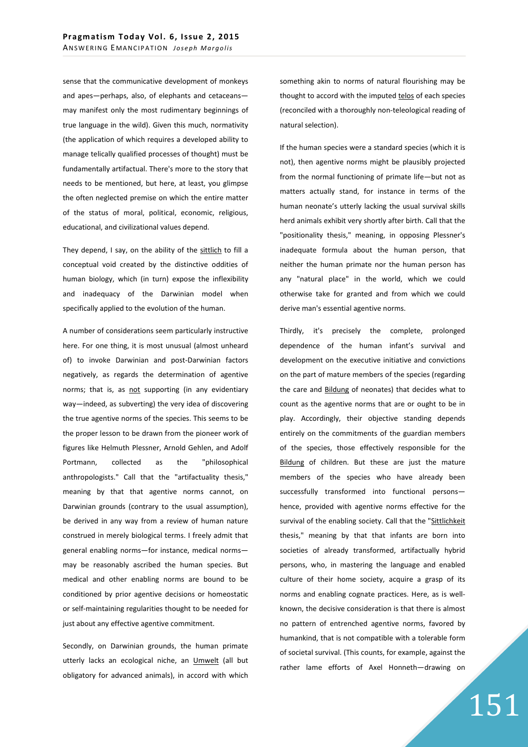sense that the communicative development of monkeys and apes—perhaps, also, of elephants and cetaceans may manifest only the most rudimentary beginnings of true language in the wild). Given this much, normativity (the application of which requires a developed ability to manage telically qualified processes of thought) must be fundamentally artifactual. There's more to the story that needs to be mentioned, but here, at least, you glimpse the often neglected premise on which the entire matter of the status of moral, political, economic, religious, educational, and civilizational values depend.

They depend, I say, on the ability of the sittlich to fill a conceptual void created by the distinctive oddities of human biology, which (in turn) expose the inflexibility and inadequacy of the Darwinian model when specifically applied to the evolution of the human.

A number of considerations seem particularly instructive here. For one thing, it is most unusual (almost unheard of) to invoke Darwinian and post-Darwinian factors negatively, as regards the determination of agentive norms; that is, as not supporting (in any evidentiary way—indeed, as subverting) the very idea of discovering the true agentive norms of the species. This seems to be the proper lesson to be drawn from the pioneer work of figures like Helmuth Plessner, Arnold Gehlen, and Adolf Portmann, collected as the "philosophical anthropologists." Call that the "artifactuality thesis," meaning by that that agentive norms cannot, on Darwinian grounds (contrary to the usual assumption), be derived in any way from a review of human nature construed in merely biological terms. I freely admit that general enabling norms—for instance, medical norms may be reasonably ascribed the human species. But medical and other enabling norms are bound to be conditioned by prior agentive decisions or homeostatic or self-maintaining regularities thought to be needed for just about any effective agentive commitment.

Secondly, on Darwinian grounds, the human primate utterly lacks an ecological niche, an Umwelt (all but obligatory for advanced animals), in accord with which something akin to norms of natural flourishing may be thought to accord with the imputed telos of each species (reconciled with a thoroughly non-teleological reading of natural selection).

If the human species were a standard species (which it is not), then agentive norms might be plausibly projected from the normal functioning of primate life—but not as matters actually stand, for instance in terms of the human neonate's utterly lacking the usual survival skills herd animals exhibit very shortly after birth. Call that the "positionality thesis," meaning, in opposing Plessner's inadequate formula about the human person, that neither the human primate nor the human person has any "natural place" in the world, which we could otherwise take for granted and from which we could derive man's essential agentive norms.

Thirdly, it's precisely the complete, prolonged dependence of the human infant's survival and development on the executive initiative and convictions on the part of mature members of the species (regarding the care and Bildung of neonates) that decides what to count as the agentive norms that are or ought to be in play. Accordingly, their objective standing depends entirely on the commitments of the guardian members of the species, those effectively responsible for the Bildung of children. But these are just the mature members of the species who have already been successfully transformed into functional persons hence, provided with agentive norms effective for the survival of the enabling society. Call that the "Sittlichkeit thesis," meaning by that that infants are born into societies of already transformed, artifactually hybrid persons, who, in mastering the language and enabled culture of their home society, acquire a grasp of its norms and enabling cognate practices. Here, as is wellknown, the decisive consideration is that there is almost no pattern of entrenched agentive norms, favored by humankind, that is not compatible with a tolerable form of societal survival. (This counts, for example, against the rather lame efforts of Axel Honneth—drawing on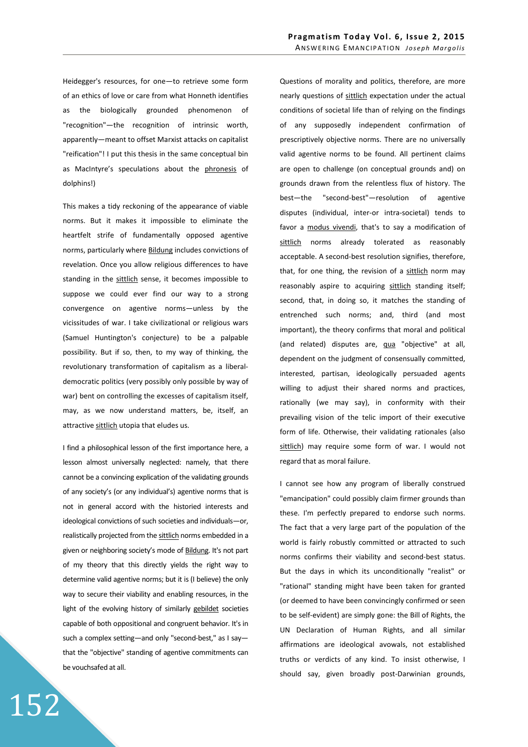Heidegger's resources, for one—to retrieve some form of an ethics of love or care from what Honneth identifies as the biologically grounded phenomenon of "recognition"—the recognition of intrinsic worth, apparently—meant to offset Marxist attacks on capitalist "reification"! I put this thesis in the same conceptual bin as MacIntyre's speculations about the phronesis of dolphins!)

This makes a tidy reckoning of the appearance of viable norms. But it makes it impossible to eliminate the heartfelt strife of fundamentally opposed agentive norms, particularly where Bildung includes convictions of revelation. Once you allow religious differences to have standing in the sittlich sense, it becomes impossible to suppose we could ever find our way to a strong convergence on agentive norms—unless by the vicissitudes of war. I take civilizational or religious wars (Samuel Huntington's conjecture) to be a palpable possibility. But if so, then, to my way of thinking, the revolutionary transformation of capitalism as a liberaldemocratic politics (very possibly only possible by way of war) bent on controlling the excesses of capitalism itself, may, as we now understand matters, be, itself, an attractive sittlich utopia that eludes us.

I find a philosophical lesson of the first importance here, a lesson almost universally neglected: namely, that there cannot be a convincing explication of the validating grounds of any society's (or any individual's) agentive norms that is not in general accord with the historied interests and ideological convictions of such societies and individuals—or, realistically projected from the sittlich norms embedded in a given or neighboring society's mode of Bildung. It's not part of my theory that this directly yields the right way to determine valid agentive norms; but it is (I believe) the only way to secure their viability and enabling resources, in the light of the evolving history of similarly gebildet societies capable of both oppositional and congruent behavior. It's in such a complex setting—and only "second-best," as I say that the "objective" standing of agentive commitments can be vouchsafed at all.

Questions of morality and politics, therefore, are more nearly questions of sittlich expectation under the actual conditions of societal life than of relying on the findings of any supposedly independent confirmation of prescriptively objective norms. There are no universally valid agentive norms to be found. All pertinent claims are open to challenge (on conceptual grounds and) on grounds drawn from the relentless flux of history. The best—the "second-best"—resolution of agentive disputes (individual, inter-or intra-societal) tends to favor a modus vivendi, that's to say a modification of sittlich norms already tolerated as reasonably acceptable. A second-best resolution signifies, therefore, that, for one thing, the revision of a sittlich norm may reasonably aspire to acquiring sittlich standing itself; second, that, in doing so, it matches the standing of entrenched such norms; and, third (and most important), the theory confirms that moral and political (and related) disputes are, qua "objective" at all, dependent on the judgment of consensually committed, interested, partisan, ideologically persuaded agents willing to adjust their shared norms and practices, rationally (we may say), in conformity with their prevailing vision of the telic import of their executive form of life. Otherwise, their validating rationales (also sittlich) may require some form of war. I would not regard that as moral failure.

I cannot see how any program of liberally construed "emancipation" could possibly claim firmer grounds than these. I'm perfectly prepared to endorse such norms. The fact that a very large part of the population of the world is fairly robustly committed or attracted to such norms confirms their viability and second-best status. But the days in which its unconditionally "realist" or "rational" standing might have been taken for granted (or deemed to have been convincingly confirmed or seen to be self-evident) are simply gone: the Bill of Rights, the UN Declaration of Human Rights, and all similar affirmations are ideological avowals, not established truths or verdicts of any kind. To insist otherwise, I should say, given broadly post-Darwinian grounds,

152